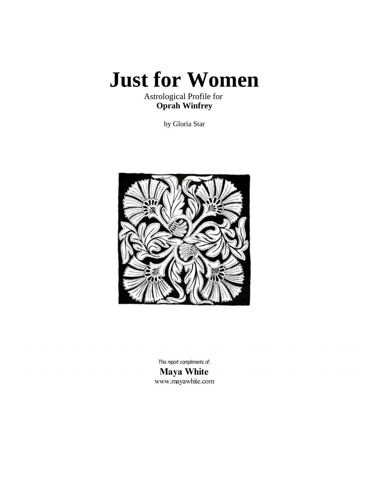# **Just for Women**

Astrological Profile for **Oprah Winfrey**

by Gloria Star



This report compliments of: **Maya White** www.mayawhite.com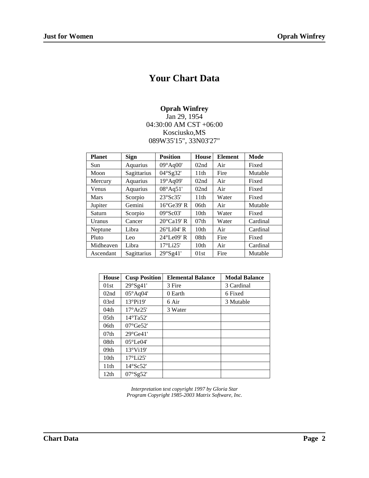# **Your Chart Data**

#### **Oprah Winfrey**

Jan 29, 1954 04:30:00 AM CST +06:00 Kosciusko,MS 089W35'15", 33N03'27"

| <b>Planet</b> | <b>Sign</b> | <b>Position</b>       | <b>House</b>     | <b>Element</b> | Mode     |
|---------------|-------------|-----------------------|------------------|----------------|----------|
| Sun           | Aquarius    | 09°Aq00'              | 02nd             | Air            | Fixed    |
| Moon          | Sagittarius | 04°Sg32'              | 11th             | Fire           | Mutable  |
| Mercury       | Aquarius    | 19°Aq09'              | 02nd             | Air            | Fixed    |
| Venus         | Aquarius    | 08°Aq51'              | 02nd             | Air            | Fixed    |
| <b>Mars</b>   | Scorpio     | 23°Sc35'              | 11th             | Water          | Fixed    |
| Jupiter       | Gemini      | $16^{\circ}$ Ge39' R  | 06th             | Air            | Mutable  |
| Saturn        | Scorpio     | $09^{\circ}$ Sc $03'$ | 10 <sub>th</sub> | Water          | Fixed    |
| <b>Uranus</b> | Cancer      | $20^{\circ}$ Ca19' R  | 07 <sub>th</sub> | Water          | Cardinal |
| Neptune       | Libra       | $26^{\circ}$ Li04' R  | 10 <sub>th</sub> | Air            | Cardinal |
| Pluto         | Leo         | $24^{\circ}$ Le09' R  | 08th             | Fire           | Fixed    |
| Midheaven     | Libra       | $17^{\circ}$ Li25'    | 10 <sub>th</sub> | Air            | Cardinal |
| Ascendant     | Sagittarius | 29°Sg41'              | 01st             | Fire           | Mutable  |

| <b>House</b>     | <b>Cusp Position</b>  | <b>Elemental Balance</b> | <b>Modal Balance</b> |
|------------------|-----------------------|--------------------------|----------------------|
| 01st             | 29°Sg41'              | 3 Fire                   | 3 Cardinal           |
| 02nd             | $05^{\circ}$ Aq04'    | 0 Earth                  | 6 Fixed              |
| 03rd             | $13^{\circ}$ Pi $19'$ | 6 Air                    | 3 Mutable            |
| 04th             | $17^\circ$ Ar25'      | 3 Water                  |                      |
| 05 <sub>th</sub> | $14^{\circ}$ Ta52'    |                          |                      |
| 06th             | $07^{\circ}$ Ge52'    |                          |                      |
| 07th             | $29^{\circ}$ Ge41'    |                          |                      |
| 08 <sub>th</sub> | $05^{\circ}$ Le $04'$ |                          |                      |
| 09 <sub>th</sub> | 13°Vi19'              |                          |                      |
| 10th             | $17^{\circ}$ Li $25'$ |                          |                      |
| 11th             | $14^{\circ}$ Sc52'    |                          |                      |
| 12th             | 07°Sg52'              |                          |                      |

*Interpretation text copyright 1997 by Gloria Star Program Copyright 1985-2003 Matrix Software, Inc.*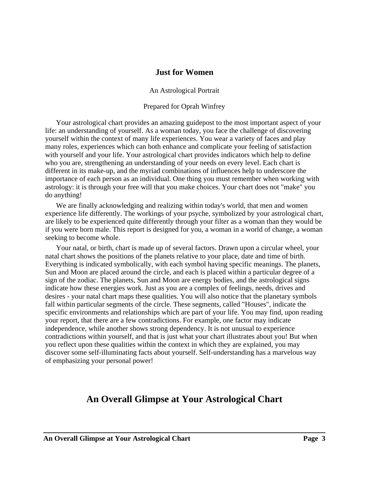#### **Just for Women**

An Astrological Portrait

Prepared for Oprah Winfrey

 Your astrological chart provides an amazing guidepost to the most important aspect of your life: an understanding of yourself. As a woman today, you face the challenge of discovering yourself within the context of many life experiences. You wear a variety of faces and play many roles, experiences which can both enhance and complicate your feeling of satisfaction with yourself and your life. Your astrological chart provides indicators which help to define who you are, strengthening an understanding of your needs on every level. Each chart is different in its make-up, and the myriad combinations of influences help to underscore the importance of each person as an individual. One thing you must remember when working with astrology: it is through your free will that you make choices. Your chart does not "make" you do anything!

 We are finally acknowledging and realizing within today's world, that men and women experience life differently. The workings of your psyche, symbolized by your astrological chart, are likely to be experienced quite differently through your filter as a woman than they would be if you were born male. This report is designed for you, a woman in a world of change, a woman seeking to become whole.

 Your natal, or birth, chart is made up of several factors. Drawn upon a circular wheel, your natal chart shows the positions of the planets relative to your place, date and time of birth. Everything is indicated symbolically, with each symbol having specific meanings. The planets, Sun and Moon are placed around the circle, and each is placed within a particular degree of a sign of the zodiac. The planets, Sun and Moon are energy bodies, and the astrological signs indicate how these energies work. Just as you are a complex of feelings, needs, drives and desires - your natal chart maps these qualities. You will also notice that the planetary symbols fall within particular segments of the circle. These segments, called "Houses", indicate the specific environments and relationships which are part of your life. You may find, upon reading your report, that there are a few contradictions. For example, one factor may indicate independence, while another shows strong dependency. It is not unusual to experience contradictions within yourself, and that is just what your chart illustrates about you! But when you reflect upon these qualities within the context in which they are explained, you may discover some self-illuminating facts about yourself. Self-understanding has a marvelous way of emphasizing your personal power!

# **An Overall Glimpse at Your Astrological Chart**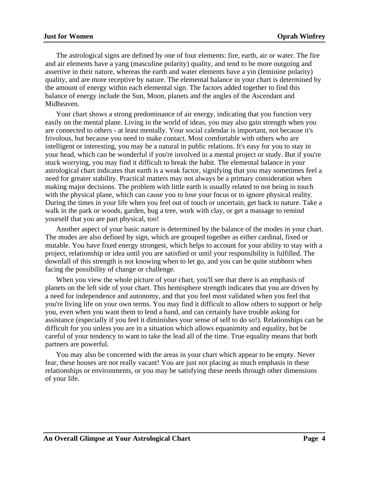The astrological signs are defined by one of four elements: fire, earth, air or water. The fire and air elements have a yang (masculine polarity) quality, and tend to be more outgoing and assertive in their nature, whereas the earth and water elements have a yin (feminine polarity) quality, and are more receptive by nature. The elemental balance in your chart is determined by the amount of energy within each elemental sign. The factors added together to find this balance of energy include the Sun, Moon, planets and the angles of the Ascendant and Midheaven.

 Your chart shows a strong predominance of air energy, indicating that you function very easily on the mental plane. Living in the world of ideas, you may also gain strength when you are connected to others - at least mentally. Your social calendar is important, not because it's frivolous, but because you need to make contact. Most comfortable with others who are intelligent or interesting, you may be a natural in public relations. It's easy for you to stay in your head, which can be wonderful if you're involved in a mental project or study. But if you're stuck worrying, you may find it difficult to break the habit. The elemental balance in your astrological chart indicates that earth is a weak factor, signifying that you may sometimes feel a need for greater stability. Practical matters may not always be a primary consideration when making major decisions. The problem with little earth is usually related to not being in touch with the physical plane, which can cause you to lose your focus or to ignore physical reality. During the times in your life when you feel out of touch or uncertain, get back to nature. Take a walk in the park or woods, garden, hug a tree, work with clay, or get a massage to remind yourself that you are part physical, too!

 Another aspect of your basic nature is determined by the balance of the modes in your chart. The modes are also defined by sign, which are grouped together as either cardinal, fixed or mutable. You have fixed energy strongest, which helps to account for your ability to stay with a project, relationship or idea until you are satisfied or until your responsibility is fulfilled. The downfall of this strength is not knowing when to let go, and you can be quite stubborn when facing the possibility of change or challenge.

When you view the whole picture of your chart, you'll see that there is an emphasis of planets on the left side of your chart. This hemisphere strength indicates that you are driven by a need for independence and autonomy, and that you feel most validated when you feel that you're living life on your own terms. You may find it difficult to allow others to support or help you, even when you want them to lend a hand, and can certainly have trouble asking for assistance (especially if you feel it diminishes your sense of self to do so!). Relationships can be difficult for you unless you are in a situation which allows equanimity and equality, but be careful of your tendency to want to take the lead all of the time. True equality means that both partners are powerful.

 You may also be concerned with the areas in your chart which appear to be empty. Never fear, these houses are not really vacant! You are just not placing as much emphasis in these relationships or environments, or you may be satisfying these needs through other dimensions of your life.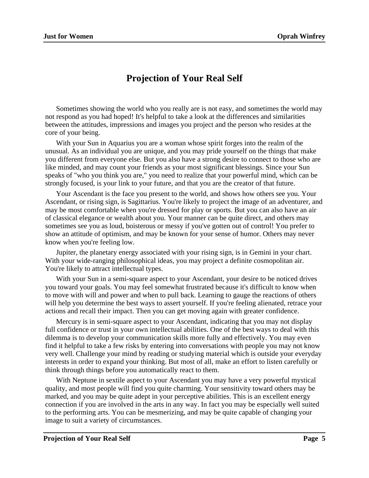# **Projection of Your Real Self**

 Sometimes showing the world who you really are is not easy, and sometimes the world may not respond as you had hoped! It's helpful to take a look at the differences and similarities between the attitudes, impressions and images you project and the person who resides at the core of your being.

 With your Sun in Aquarius you are a woman whose spirit forges into the realm of the unusual. As an individual you are unique, and you may pride yourself on the things that make you different from everyone else. But you also have a strong desire to connect to those who are like minded, and may count your friends as your most significant blessings. Since your Sun speaks of "who you think you are," you need to realize that your powerful mind, which can be strongly focused, is your link to your future, and that you are the creator of that future.

 Your Ascendant is the face you present to the world, and shows how others see you. Your Ascendant, or rising sign, is Sagittarius. You're likely to project the image of an adventurer, and may be most comfortable when you're dressed for play or sports. But you can also have an air of classical elegance or wealth about you. Your manner can be quite direct, and others may sometimes see you as loud, boisterous or messy if you've gotten out of control! You prefer to show an attitude of optimism, and may be known for your sense of humor. Others may never know when you're feeling low.

 Jupiter, the planetary energy associated with your rising sign, is in Gemini in your chart. With your wide-ranging philosophical ideas, you may project a definite cosmopolitan air. You're likely to attract intellectual types.

 With your Sun in a semi-square aspect to your Ascendant, your desire to be noticed drives you toward your goals. You may feel somewhat frustrated because it's difficult to know when to move with will and power and when to pull back. Learning to gauge the reactions of others will help you determine the best ways to assert yourself. If you're feeling alienated, retrace your actions and recall their impact. Then you can get moving again with greater confidence.

 Mercury is in semi-square aspect to your Ascendant, indicating that you may not display full confidence or trust in your own intellectual abilities. One of the best ways to deal with this dilemma is to develop your communication skills more fully and effectively. You may even find it helpful to take a few risks by entering into conversations with people you may not know very well. Challenge your mind by reading or studying material which is outside your everyday interests in order to expand your thinking. But most of all, make an effort to listen carefully or think through things before you automatically react to them.

 With Neptune in sextile aspect to your Ascendant you may have a very powerful mystical quality, and most people will find you quite charming. Your sensitivity toward others may be marked, and you may be quite adept in your perceptive abilities. This is an excellent energy connection if you are involved in the arts in any way. In fact you may be especially well suited to the performing arts. You can be mesmerizing, and may be quite capable of changing your image to suit a variety of circumstances.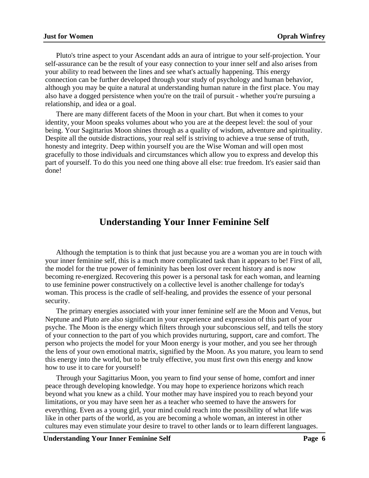Pluto's trine aspect to your Ascendant adds an aura of intrigue to your self-projection. Your self-assurance can be the result of your easy connection to your inner self and also arises from your ability to read between the lines and see what's actually happening. This energy connection can be further developed through your study of psychology and human behavior, although you may be quite a natural at understanding human nature in the first place. You may also have a dogged persistence when you're on the trail of pursuit - whether you're pursuing a relationship, and idea or a goal.

 There are many different facets of the Moon in your chart. But when it comes to your identity, your Moon speaks volumes about who you are at the deepest level: the soul of your being. Your Sagittarius Moon shines through as a quality of wisdom, adventure and spirituality. Despite all the outside distractions, your real self is striving to achieve a true sense of truth, honesty and integrity. Deep within yourself you are the Wise Woman and will open most gracefully to those individuals and circumstances which allow you to express and develop this part of yourself. To do this you need one thing above all else: true freedom. It's easier said than done!

#### **Understanding Your Inner Feminine Self**

 Although the temptation is to think that just because you are a woman you are in touch with your inner feminine self, this is a much more complicated task than it appears to be! First of all, the model for the true power of femininity has been lost over recent history and is now becoming re-energized. Recovering this power is a personal task for each woman, and learning to use feminine power constructively on a collective level is another challenge for today's woman. This process is the cradle of self-healing, and provides the essence of your personal security.

 The primary energies associated with your inner feminine self are the Moon and Venus, but Neptune and Pluto are also significant in your experience and expression of this part of your psyche. The Moon is the energy which filters through your subconscious self, and tells the story of your connection to the part of you which provides nurturing, support, care and comfort. The person who projects the model for your Moon energy is your mother, and you see her through the lens of your own emotional matrix, signified by the Moon. As you mature, you learn to send this energy into the world, but to be truly effective, you must first own this energy and know how to use it to care for yourself!

 Through your Sagittarius Moon, you yearn to find your sense of home, comfort and inner peace through developing knowledge. You may hope to experience horizons which reach beyond what you knew as a child. Your mother may have inspired you to reach beyond your limitations, or you may have seen her as a teacher who seemed to have the answers for everything. Even as a young girl, your mind could reach into the possibility of what life was like in other parts of the world, as you are becoming a whole woman, an interest in other cultures may even stimulate your desire to travel to other lands or to learn different languages.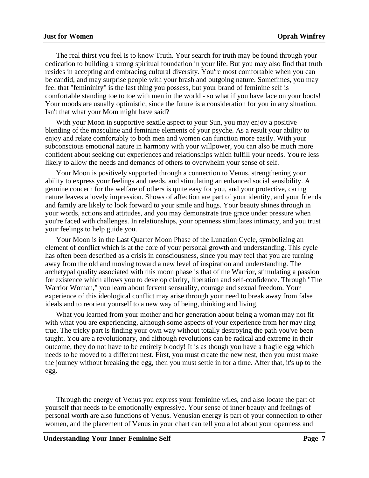The real thirst you feel is to know Truth. Your search for truth may be found through your dedication to building a strong spiritual foundation in your life. But you may also find that truth resides in accepting and embracing cultural diversity. You're most comfortable when you can be candid, and may surprise people with your brash and outgoing nature. Sometimes, you may feel that "femininity" is the last thing you possess, but your brand of feminine self is comfortable standing toe to toe with men in the world - so what if you have lace on your boots! Your moods are usually optimistic, since the future is a consideration for you in any situation. Isn't that what your Mom might have said?

 With your Moon in supportive sextile aspect to your Sun, you may enjoy a positive blending of the masculine and feminine elements of your psyche. As a result your ability to enjoy and relate comfortably to both men and women can function more easily. With your subconscious emotional nature in harmony with your willpower, you can also be much more confident about seeking out experiences and relationships which fulfill your needs. You're less likely to allow the needs and demands of others to overwhelm your sense of self.

 Your Moon is positively supported through a connection to Venus, strengthening your ability to express your feelings and needs, and stimulating an enhanced social sensibility. A genuine concern for the welfare of others is quite easy for you, and your protective, caring nature leaves a lovely impression. Shows of affection are part of your identity, and your friends and family are likely to look forward to your smile and hugs. Your beauty shines through in your words, actions and attitudes, and you may demonstrate true grace under pressure when you're faced with challenges. In relationships, your openness stimulates intimacy, and you trust your feelings to help guide you.

 Your Moon is in the Last Quarter Moon Phase of the Lunation Cycle, symbolizing an element of conflict which is at the core of your personal growth and understanding. This cycle has often been described as a crisis in consciousness, since you may feel that you are turning away from the old and moving toward a new level of inspiration and understanding. The archetypal quality associated with this moon phase is that of the Warrior, stimulating a passion for existence which allows you to develop clarity, liberation and self-confidence. Through "The Warrior Woman," you learn about fervent sensuality, courage and sexual freedom. Your experience of this ideological conflict may arise through your need to break away from false ideals and to reorient yourself to a new way of being, thinking and living.

 What you learned from your mother and her generation about being a woman may not fit with what you are experiencing, although some aspects of your experience from her may ring true. The tricky part is finding your own way without totally destroying the path you've been taught. You are a revolutionary, and although revolutions can be radical and extreme in their outcome, they do not have to be entirely bloody! It is as though you have a fragile egg which needs to be moved to a different nest. First, you must create the new nest, then you must make the journey without breaking the egg, then you must settle in for a time. After that, it's up to the egg.

 Through the energy of Venus you express your feminine wiles, and also locate the part of yourself that needs to be emotionally expressive. Your sense of inner beauty and feelings of personal worth are also functions of Venus. Venusian energy is part of your connection to other women, and the placement of Venus in your chart can tell you a lot about your openness and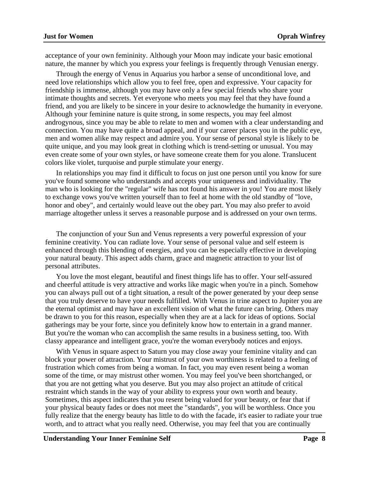acceptance of your own femininity. Although your Moon may indicate your basic emotional nature, the manner by which you express your feelings is frequently through Venusian energy.

 Through the energy of Venus in Aquarius you harbor a sense of unconditional love, and need love relationships which allow you to feel free, open and expressive. Your capacity for friendship is immense, although you may have only a few special friends who share your intimate thoughts and secrets. Yet everyone who meets you may feel that they have found a friend, and you are likely to be sincere in your desire to acknowledge the humanity in everyone. Although your feminine nature is quite strong, in some respects, you may feel almost androgynous, since you may be able to relate to men and women with a clear understanding and connection. You may have quite a broad appeal, and if your career places you in the public eye, men and women alike may respect and admire you. Your sense of personal style is likely to be quite unique, and you may look great in clothing which is trend-setting or unusual. You may even create some of your own styles, or have someone create them for you alone. Translucent colors like violet, turquoise and purple stimulate your energy.

 In relationships you may find it difficult to focus on just one person until you know for sure you've found someone who understands and accepts your uniqueness and individuality. The man who is looking for the "regular" wife has not found his answer in you! You are most likely to exchange vows you've written yourself than to feel at home with the old standby of "love, honor and obey", and certainly would leave out the obey part. You may also prefer to avoid marriage altogether unless it serves a reasonable purpose and is addressed on your own terms.

 The conjunction of your Sun and Venus represents a very powerful expression of your feminine creativity. You can radiate love. Your sense of personal value and self esteem is enhanced through this blending of energies, and you can be especially effective in developing your natural beauty. This aspect adds charm, grace and magnetic attraction to your list of personal attributes.

 You love the most elegant, beautiful and finest things life has to offer. Your self-assured and cheerful attitude is very attractive and works like magic when you're in a pinch. Somehow you can always pull out of a tight situation, a result of the power generated by your deep sense that you truly deserve to have your needs fulfilled. With Venus in trine aspect to Jupiter you are the eternal optimist and may have an excellent vision of what the future can bring. Others may be drawn to you for this reason, especially when they are at a lack for ideas of options. Social gatherings may be your forte, since you definitely know how to entertain in a grand manner. But you're the woman who can accomplish the same results in a business setting, too. With classy appearance and intelligent grace, you're the woman everybody notices and enjoys.

 With Venus in square aspect to Saturn you may close away your feminine vitality and can block your power of attraction. Your mistrust of your own worthiness is related to a feeling of frustration which comes from being a woman. In fact, you may even resent being a woman some of the time, or may mistrust other women. You may feel you've been shortchanged, or that you are not getting what you deserve. But you may also project an attitude of critical restraint which stands in the way of your ability to express your own worth and beauty. Sometimes, this aspect indicates that you resent being valued for your beauty, or fear that if your physical beauty fades or does not meet the "standards", you will be worthless. Once you fully realize that the energy beauty has little to do with the facade, it's easier to radiate your true worth, and to attract what you really need. Otherwise, you may feel that you are continually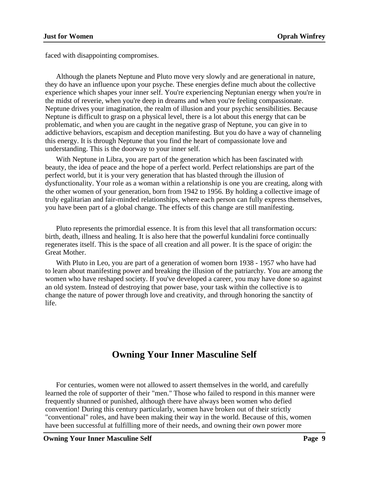faced with disappointing compromises.

 Although the planets Neptune and Pluto move very slowly and are generational in nature, they do have an influence upon your psyche. These energies define much about the collective experience which shapes your inner self. You're experiencing Neptunian energy when you're in the midst of reverie, when you're deep in dreams and when you're feeling compassionate. Neptune drives your imagination, the realm of illusion and your psychic sensibilities. Because Neptune is difficult to grasp on a physical level, there is a lot about this energy that can be problematic, and when you are caught in the negative grasp of Neptune, you can give in to addictive behaviors, escapism and deception manifesting. But you do have a way of channeling this energy. It is through Neptune that you find the heart of compassionate love and understanding. This is the doorway to your inner self.

 With Neptune in Libra, you are part of the generation which has been fascinated with beauty, the idea of peace and the hope of a perfect world. Perfect relationships are part of the perfect world, but it is your very generation that has blasted through the illusion of dysfunctionality. Your role as a woman within a relationship is one you are creating, along with the other women of your generation, born from 1942 to 1956. By holding a collective image of truly egalitarian and fair-minded relationships, where each person can fully express themselves, you have been part of a global change. The effects of this change are still manifesting.

 Pluto represents the primordial essence. It is from this level that all transformation occurs: birth, death, illness and healing. It is also here that the powerful kundalini force continually regenerates itself. This is the space of all creation and all power. It is the space of origin: the Great Mother.

 With Pluto in Leo, you are part of a generation of women born 1938 - 1957 who have had to learn about manifesting power and breaking the illusion of the patriarchy. You are among the women who have reshaped society. If you've developed a career, you may have done so against an old system. Instead of destroying that power base, your task within the collective is to change the nature of power through love and creativity, and through honoring the sanctity of life.

### **Owning Your Inner Masculine Self**

 For centuries, women were not allowed to assert themselves in the world, and carefully learned the role of supporter of their "men." Those who failed to respond in this manner were frequently shunned or punished, although there have always been women who defied convention! During this century particularly, women have broken out of their strictly "conventional" roles, and have been making their way in the world. Because of this, women have been successful at fulfilling more of their needs, and owning their own power more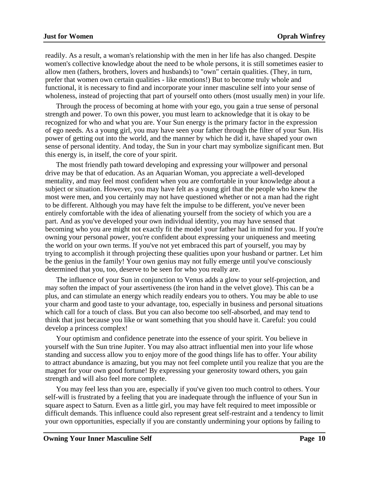readily. As a result, a woman's relationship with the men in her life has also changed. Despite women's collective knowledge about the need to be whole persons, it is still sometimes easier to allow men (fathers, brothers, lovers and husbands) to "own" certain qualities. (They, in turn, prefer that women own certain qualities - like emotions!) But to become truly whole and functional, it is necessary to find and incorporate your inner masculine self into your sense of wholeness, instead of projecting that part of yourself onto others (most usually men) in your life.

 Through the process of becoming at home with your ego, you gain a true sense of personal strength and power. To own this power, you must learn to acknowledge that it is okay to be recognized for who and what you are. Your Sun energy is the primary factor in the expression of ego needs. As a young girl, you may have seen your father through the filter of your Sun. His power of getting out into the world, and the manner by which he did it, have shaped your own sense of personal identity. And today, the Sun in your chart may symbolize significant men. But this energy is, in itself, the core of your spirit.

 The most friendly path toward developing and expressing your willpower and personal drive may be that of education. As an Aquarian Woman, you appreciate a well-developed mentality, and may feel most confident when you are comfortable in your knowledge about a subject or situation. However, you may have felt as a young girl that the people who knew the most were men, and you certainly may not have questioned whether or not a man had the right to be different. Although you may have felt the impulse to be different, you've never been entirely comfortable with the idea of alienating yourself from the society of which you are a part. And as you've developed your own individual identity, you may have sensed that becoming who you are might not exactly fit the model your father had in mind for you. If you're owning your personal power, you're confident about expressing your uniqueness and meeting the world on your own terms. If you've not yet embraced this part of yourself, you may by trying to accomplish it through projecting these qualities upon your husband or partner. Let him be the genius in the family! Your own genius may not fully emerge until you've consciously determined that you, too, deserve to be seen for who you really are.

 The influence of your Sun in conjunction to Venus adds a glow to your self-projection, and may soften the impact of your assertiveness (the iron hand in the velvet glove). This can be a plus, and can stimulate an energy which readily endears you to others. You may be able to use your charm and good taste to your advantage, too, especially in business and personal situations which call for a touch of class. But you can also become too self-absorbed, and may tend to think that just because you like or want something that you should have it. Careful: you could develop a princess complex!

 Your optimism and confidence penetrate into the essence of your spirit. You believe in yourself with the Sun trine Jupiter. You may also attract influential men into your life whose standing and success allow you to enjoy more of the good things life has to offer. Your ability to attract abundance is amazing, but you may not feel complete until you realize that you are the magnet for your own good fortune! By expressing your generosity toward others, you gain strength and will also feel more complete.

 You may feel less than you are, especially if you've given too much control to others. Your self-will is frustrated by a feeling that you are inadequate through the influence of your Sun in square aspect to Saturn. Even as a little girl, you may have felt required to meet impossible or difficult demands. This influence could also represent great self-restraint and a tendency to limit your own opportunities, especially if you are constantly undermining your options by failing to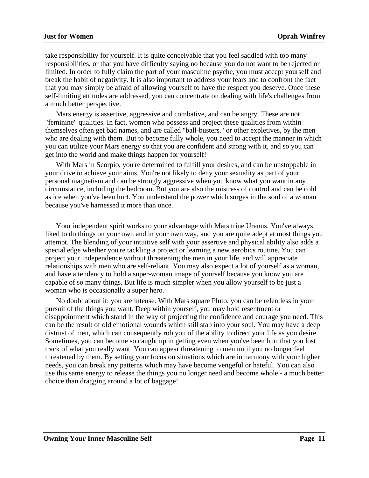take responsibility for yourself. It is quite conceivable that you feel saddled with too many responsibilities, or that you have difficulty saying no because you do not want to be rejected or limited. In order to fully claim the part of your masculine psyche, you must accept yourself and break the habit of negativity. It is also important to address your fears and to confront the fact that you may simply be afraid of allowing yourself to have the respect you deserve. Once these self-limiting attitudes are addressed, you can concentrate on dealing with life's challenges from a much better perspective.

 Mars energy is assertive, aggressive and combative, and can be angry. These are not "feminine" qualities. In fact, women who possess and project these qualities from within themselves often get bad names, and are called "ball-busters," or other expletives, by the men who are dealing with them. But to become fully whole, you need to accept the manner in which you can utilize your Mars energy so that you are confident and strong with it, and so you can get into the world and make things happen for yourself!

With Mars in Scorpio, you're determined to fulfill your desires, and can be unstoppable in your drive to achieve your aims. You're not likely to deny your sexuality as part of your personal magnetism and can be strongly aggressive when you know what you want in any circumstance, including the bedroom. But you are also the mistress of control and can be cold as ice when you've been hurt. You understand the power which surges in the soul of a woman because you've harnessed it more than once.

 Your independent spirit works to your advantage with Mars trine Uranus. You've always liked to do things on your own and in your own way, and you are quite adept at most things you attempt. The blending of your intuitive self with your assertive and physical ability also adds a special edge whether you're tackling a project or learning a new aerobics routine. You can project your independence without threatening the men in your life, and will appreciate relationships with men who are self-reliant. You may also expect a lot of yourself as a woman, and have a tendency to hold a super-woman image of yourself because you know you are capable of so many things. But life is much simpler when you allow yourself to be just a woman who is occasionally a super hero.

 No doubt about it: you are intense. With Mars square Pluto, you can be relentless in your pursuit of the things you want. Deep within yourself, you may hold resentment or disappointment which stand in the way of projecting the confidence and courage you need. This can be the result of old emotional wounds which still stab into your soul. You may have a deep distrust of men, which can consequently rob you of the ability to direct your life as you desire. Sometimes, you can become so caught up in getting even when you've been hurt that you lost track of what you really want. You can appear threatening to men until you no longer feel threatened by them. By setting your focus on situations which are in harmony with your higher needs, you can break any patterns which may have become vengeful or hateful. You can also use this same energy to release the things you no longer need and become whole - a much better choice than dragging around a lot of baggage!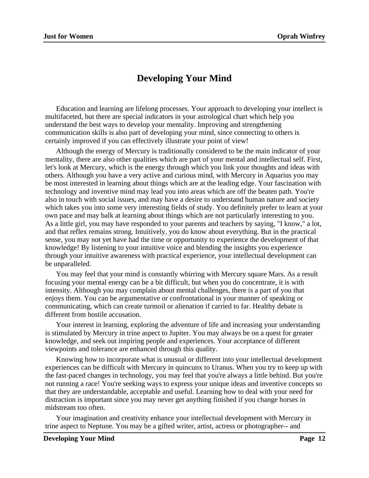# **Developing Your Mind**

 Education and learning are lifelong processes. Your approach to developing your intellect is multifaceted, but there are special indicators in your astrological chart which help you understand the best ways to develop your mentality. Improving and strengthening communication skills is also part of developing your mind, since connecting to others is certainly improved if you can effectively illustrate your point of view!

 Although the energy of Mercury is traditionally considered to be the main indicator of your mentality, there are also other qualities which are part of your mental and intellectual self. First, let's look at Mercury, which is the energy through which you link your thoughts and ideas with others. Although you have a very active and curious mind, with Mercury in Aquarius you may be most interested in learning about things which are at the leading edge. Your fascination with technology and inventive mind may lead you into areas which are off the beaten path. You're also in touch with social issues, and may have a desire to understand human nature and society which takes you into some very interesting fields of study. You definitely prefer to learn at your own pace and may balk at learning about things which are not particularly interesting to you. As a little girl, you may have responded to your parents and teachers by saying, "I know," a lot, and that reflex remains strong. Intuitively, you do know about everything. But in the practical sense, you may not yet have had the time or opportunity to experience the development of that knowledge! By listening to your intuitive voice and blending the insights you experience through your intuitive awareness with practical experience, your intellectual development can be unparalleled.

 You may feel that your mind is constantly whirring with Mercury square Mars. As a result focusing your mental energy can be a bit difficult, but when you do concentrate, it is with intensity. Although you may complain about mental challenges, there is a part of you that enjoys them. You can be argumentative or confrontational in your manner of speaking or communicating, which can create turmoil or alienation if carried to far. Healthy debate is different from hostile accusation.

 Your interest in learning, exploring the adventure of life and increasing your understanding is stimulated by Mercury in trine aspect to Jupiter. You may always be on a quest for greater knowledge, and seek out inspiring people and experiences. Your acceptance of different viewpoints and tolerance are enhanced through this quality.

 Knowing how to incorporate what is unusual or different into your intellectual development experiences can be difficult with Mercury in quincunx to Uranus. When you try to keep up with the fast-paced changes in technology, you may feel that you're always a little behind. But you're not running a race! You're seeking ways to express your unique ideas and inventive concepts so that they are understandable, acceptable and useful. Learning how to deal with your need for distraction is important since you may never get anything finished if you change horses in midstream too often.

 Your imagination and creativity enhance your intellectual development with Mercury in trine aspect to Neptune. You may be a gifted writer, artist, actress or photographer-- and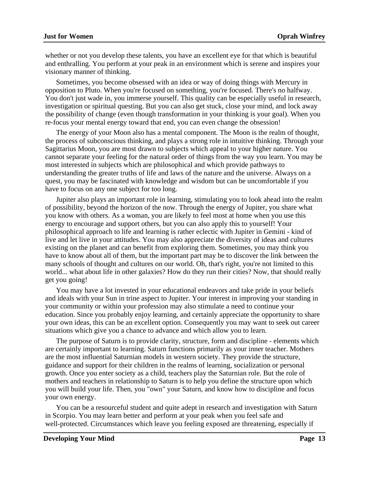whether or not you develop these talents, you have an excellent eye for that which is beautiful and enthralling. You perform at your peak in an environment which is serene and inspires your visionary manner of thinking.

 Sometimes, you become obsessed with an idea or way of doing things with Mercury in opposition to Pluto. When you're focused on something, you're focused. There's no halfway. You don't just wade in, you immerse yourself. This quality can be especially useful in research, investigation or spiritual questing. But you can also get stuck, close your mind, and lock away the possibility of change (even though transformation in your thinking is your goal). When you re-focus your mental energy toward that end, you can even change the obsession!

 The energy of your Moon also has a mental component. The Moon is the realm of thought, the process of subconscious thinking, and plays a strong role in intuitive thinking. Through your Sagittarius Moon, you are most drawn to subjects which appeal to your higher nature. You cannot separate your feeling for the natural order of things from the way you learn. You may be most interested in subjects which are philosophical and which provide pathways to understanding the greater truths of life and laws of the nature and the universe. Always on a quest, you may be fascinated with knowledge and wisdom but can be uncomfortable if you have to focus on any one subject for too long.

 Jupiter also plays an important role in learning, stimulating you to look ahead into the realm of possibility, beyond the horizon of the now. Through the energy of Jupiter, you share what you know with others. As a woman, you are likely to feel most at home when you use this energy to encourage and support others, but you can also apply this to yourself! Your philosophical approach to life and learning is rather eclectic with Jupiter in Gemini - kind of live and let live in your attitudes. You may also appreciate the diversity of ideas and cultures existing on the planet and can benefit from exploring them. Sometimes, you may think you have to know about all of them, but the important part may be to discover the link between the many schools of thought and cultures on our world. Oh, that's right, you're not limited to this world... what about life in other galaxies? How do they run their cities? Now, that should really get you going!

 You may have a lot invested in your educational endeavors and take pride in your beliefs and ideals with your Sun in trine aspect to Jupiter. Your interest in improving your standing in your community or within your profession may also stimulate a need to continue your education. Since you probably enjoy learning, and certainly appreciate the opportunity to share your own ideas, this can be an excellent option. Consequently you may want to seek out career situations which give you a chance to advance and which allow you to learn.

 The purpose of Saturn is to provide clarity, structure, form and discipline - elements which are certainly important to learning. Saturn functions primarily as your inner teacher. Mothers are the most influential Saturnian models in western society. They provide the structure, guidance and support for their children in the realms of learning, socialization or personal growth. Once you enter society as a child, teachers play the Saturnian role. But the role of mothers and teachers in relationship to Saturn is to help you define the structure upon which you will build your life. Then, you "own" your Saturn, and know how to discipline and focus your own energy.

 You can be a resourceful student and quite adept in research and investigation with Saturn in Scorpio. You may learn better and perform at your peak when you feel safe and well-protected. Circumstances which leave you feeling exposed are threatening, especially if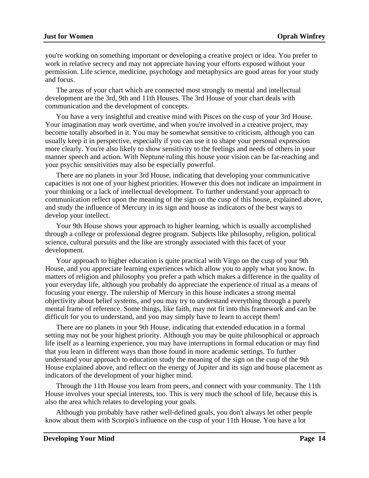you're working on something important or developing a creative project or idea. You prefer to work in relative secrecy and may not appreciate having your efforts exposed without your permission. Life science, medicine, psychology and metaphysics are good areas for your study and focus.

 The areas of your chart which are connected most strongly to mental and intellectual development are the 3rd, 9th and 11th Houses. The 3rd House of your chart deals with communication and the development of concepts.

 You have a very insightful and creative mind with Pisces on the cusp of your 3rd House. Your imagination may work overtime, and when you're involved in a creative project, may become totally absorbed in it. You may be somewhat sensitive to criticism, although you can usually keep it in perspective, especially if you can use it to shape your personal expression more clearly. You're also likely to show sensitivity to the feelings and needs of others in your manner speech and action. With Neptune ruling this house your vision can be far-reaching and your psychic sensitivities may also be especially powerful.

 There are no planets in your 3rd House, indicating that developing your communicative capacities is not one of your highest priorities. However this does not indicate an impairment in your thinking or a lack of intellectual development. To further understand your approach to communication reflect upon the meaning of the sign on the cusp of this house, explained above, and study the influence of Mercury in its sign and house as indicators of the best ways to develop your intellect.

 Your 9th House shows your approach to higher learning, which is usually accomplished through a college or professional degree program. Subjects like philosophy, religion, political science, cultural pursuits and the like are strongly associated with this facet of your development.

 Your approach to higher education is quite practical with Virgo on the cusp of your 9th House, and you appreciate learning experiences which allow you to apply what you know. In matters of religion and philosophy you prefer a path which makes a difference in the quality of your everyday life, although you probably do appreciate the experience of ritual as a means of focusing your energy. The rulership of Mercury in this house indicates a strong mental objectivity about belief systems, and you may try to understand everything through a purely mental frame of reference. Some things, like faith, may not fit into this framework and can be difficult for you to understand, and you may simply have to learn to accept them!

 There are no planets in your 9th House, indicating that extended education in a formal setting may not be your highest priority. Although you may be quite philosophical or approach life itself as a learning experience, you may have interruptions in formal education or may find that you learn in different ways than those found in more academic settings. To further understand your approach to education study the meaning of the sign on the cusp of the 9th House explained above, and reflect on the energy of Jupiter and its sign and house placement as indicators of the development of your higher mind.

 Through the 11th House you learn from peers, and connect with your community. The 11th House involves your special interests, too. This is very much the school of life, because this is also the area which relates to developing your goals.

 Although you probably have rather well-defined goals, you don't always let other people know about them with Scorpio's influence on the cusp of your 11th House. You have a lot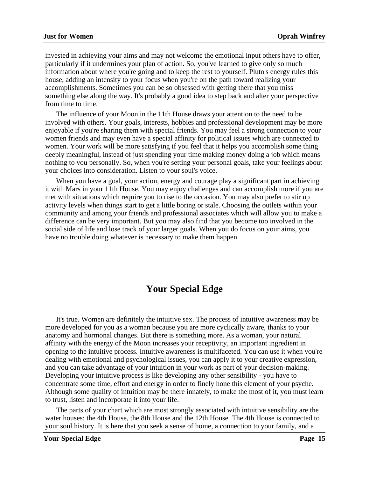invested in achieving your aims and may not welcome the emotional input others have to offer, particularly if it undermines your plan of action. So, you've learned to give only so much information about where you're going and to keep the rest to yourself. Pluto's energy rules this house, adding an intensity to your focus when you're on the path toward realizing your accomplishments. Sometimes you can be so obsessed with getting there that you miss something else along the way. It's probably a good idea to step back and alter your perspective from time to time.

 The influence of your Moon in the 11th House draws your attention to the need to be involved with others. Your goals, interests, hobbies and professional development may be more enjoyable if you're sharing them with special friends. You may feel a strong connection to your women friends and may even have a special affinity for political issues which are connected to women. Your work will be more satisfying if you feel that it helps you accomplish some thing deeply meaningful, instead of just spending your time making money doing a job which means nothing to you personally. So, when you're setting your personal goals, take your feelings about your choices into consideration. Listen to your soul's voice.

 When you have a goal, your action, energy and courage play a significant part in achieving it with Mars in your 11th House. You may enjoy challenges and can accomplish more if you are met with situations which require you to rise to the occasion. You may also prefer to stir up activity levels when things start to get a little boring or stale. Choosing the outlets within your community and among your friends and professional associates which will allow you to make a difference can be very important. But you may also find that you become too involved in the social side of life and lose track of your larger goals. When you do focus on your aims, you have no trouble doing whatever is necessary to make them happen.

#### **Your Special Edge**

 It's true. Women are definitely the intuitive sex. The process of intuitive awareness may be more developed for you as a woman because you are more cyclically aware, thanks to your anatomy and hormonal changes. But there is something more. As a woman, your natural affinity with the energy of the Moon increases your receptivity, an important ingredient in opening to the intuitive process. Intuitive awareness is multifaceted. You can use it when you're dealing with emotional and psychological issues, you can apply it to your creative expression, and you can take advantage of your intuition in your work as part of your decision-making. Developing your intuitive process is like developing any other sensibility - you have to concentrate some time, effort and energy in order to finely hone this element of your psyche. Although some quality of intuition may be there innately, to make the most of it, you must learn to trust, listen and incorporate it into your life.

 The parts of your chart which are most strongly associated with intuitive sensibility are the water houses: the 4th House, the 8th House and the 12th House. The 4th House is connected to your soul history. It is here that you seek a sense of home, a connection to your family, and a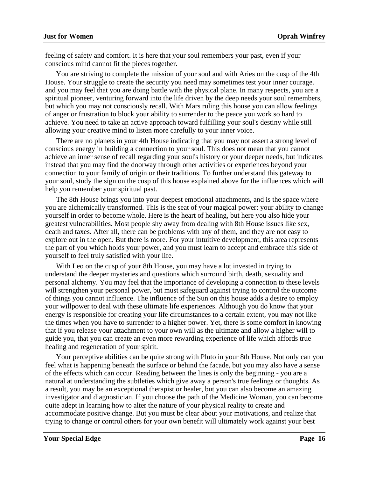feeling of safety and comfort. It is here that your soul remembers your past, even if your conscious mind cannot fit the pieces together.

 You are striving to complete the mission of your soul and with Aries on the cusp of the 4th House. Your struggle to create the security you need may sometimes test your inner courage. and you may feel that you are doing battle with the physical plane. In many respects, you are a spiritual pioneer, venturing forward into the life driven by the deep needs your soul remembers, but which you may not consciously recall. With Mars ruling this house you can allow feelings of anger or frustration to block your ability to surrender to the peace you work so hard to achieve. You need to take an active approach toward fulfilling your soul's destiny while still allowing your creative mind to listen more carefully to your inner voice.

 There are no planets in your 4th House indicating that you may not assert a strong level of conscious energy in building a connection to your soul. This does not mean that you cannot achieve an inner sense of recall regarding your soul's history or your deeper needs, but indicates instead that you may find the doorway through other activities or experiences beyond your connection to your family of origin or their traditions. To further understand this gateway to your soul, study the sign on the cusp of this house explained above for the influences which will help you remember your spiritual past.

 The 8th House brings you into your deepest emotional attachments, and is the space where you are alchemically transformed. This is the seat of your magical power: your ability to change yourself in order to become whole. Here is the heart of healing, but here you also hide your greatest vulnerabilities. Most people shy away from dealing with 8th House issues like sex, death and taxes. After all, there can be problems with any of them, and they are not easy to explore out in the open. But there is more. For your intuitive development, this area represents the part of you which holds your power, and you must learn to accept and embrace this side of yourself to feel truly satisfied with your life.

 With Leo on the cusp of your 8th House, you may have a lot invested in trying to understand the deeper mysteries and questions which surround birth, death, sexuality and personal alchemy. You may feel that the importance of developing a connection to these levels will strengthen your personal power, but must safeguard against trying to control the outcome of things you cannot influence. The influence of the Sun on this house adds a desire to employ your willpower to deal with these ultimate life experiences. Although you do know that your energy is responsible for creating your life circumstances to a certain extent, you may not like the times when you have to surrender to a higher power. Yet, there is some comfort in knowing that if you release your attachment to your own will as the ultimate and allow a higher will to guide you, that you can create an even more rewarding experience of life which affords true healing and regeneration of your spirit.

 Your perceptive abilities can be quite strong with Pluto in your 8th House. Not only can you feel what is happening beneath the surface or behind the facade, but you may also have a sense of the effects which can occur. Reading between the lines is only the beginning - you are a natural at understanding the subtleties which give away a person's true feelings or thoughts. As a result, you may be an exceptional therapist or healer, but you can also become an amazing investigator and diagnostician. If you choose the path of the Medicine Woman, you can become quite adept in learning how to alter the nature of your physical reality to create and accommodate positive change. But you must be clear about your motivations, and realize that trying to change or control others for your own benefit will ultimately work against your best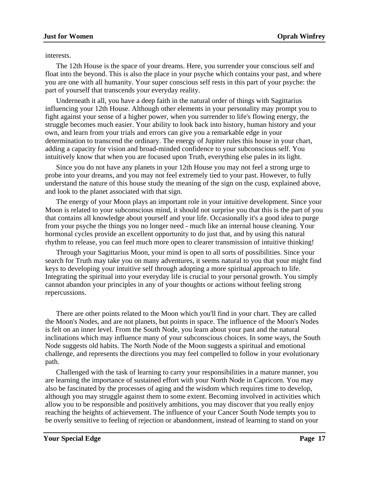interests.

 The 12th House is the space of your dreams. Here, you surrender your conscious self and float into the beyond. This is also the place in your psyche which contains your past, and where you are one with all humanity. Your super conscious self rests in this part of your psyche: the part of yourself that transcends your everyday reality.

 Underneath it all, you have a deep faith in the natural order of things with Sagittarius influencing your 12th House. Although other elements in your personality may prompt you to fight against your sense of a higher power, when you surrender to life's flowing energy, the struggle becomes much easier. Your ability to look back into history, human history and your own, and learn from your trials and errors can give you a remarkable edge in your determination to transcend the ordinary. The energy of Jupiter rules this house in your chart, adding a capacity for vision and broad-minded confidence to your subconscious self. You intuitively know that when you are focused upon Truth, everything else pales in its light.

 Since you do not have any planets in your 12th House you may not feel a strong urge to probe into your dreams, and you may not feel extremely tied to your past. However, to fully understand the nature of this house study the meaning of the sign on the cusp, explained above, and look to the planet associated with that sign.

 The energy of your Moon plays an important role in your intuitive development. Since your Moon is related to your subconscious mind, it should not surprise you that this is the part of you that contains all knowledge about yourself and your life. Occasionally it's a good idea to purge from your psyche the things you no longer need - much like an internal house cleaning. Your hormonal cycles provide an excellent opportunity to do just that, and by using this natural rhythm to release, you can feel much more open to clearer transmission of intuitive thinking!

 Through your Sagittarius Moon, your mind is open to all sorts of possibilities. Since your search for Truth may take you on many adventures, it seems natural to you that your might find keys to developing your intuitive self through adopting a more spiritual approach to life. Integrating the spiritual into your everyday life is crucial to your personal growth. You simply cannot abandon your principles in any of your thoughts or actions without feeling strong repercussions.

 There are other points related to the Moon which you'll find in your chart. They are called the Moon's Nodes, and are not planets, but points in space. The influence of the Moon's Nodes is felt on an inner level. From the South Node, you learn about your past and the natural inclinations which may influence many of your subconscious choices. In some ways, the South Node suggests old habits. The North Node of the Moon suggests a spiritual and emotional challenge, and represents the directions you may feel compelled to follow in your evolutionary path.

 Challenged with the task of learning to carry your responsibilities in a mature manner, you are learning the importance of sustained effort with your North Node in Capricorn. You may also be fascinated by the processes of aging and the wisdom which requires time to develop, although you may struggle against them to some extent. Becoming involved in activities which allow you to be responsible and positively ambitions, you may discover that you really enjoy reaching the heights of achievement. The influence of your Cancer South Node tempts you to be overly sensitive to feeling of rejection or abandonment, instead of learning to stand on your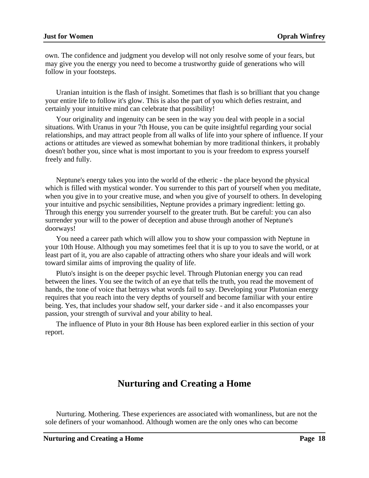own. The confidence and judgment you develop will not only resolve some of your fears, but may give you the energy you need to become a trustworthy guide of generations who will follow in your footsteps.

 Uranian intuition is the flash of insight. Sometimes that flash is so brilliant that you change your entire life to follow it's glow. This is also the part of you which defies restraint, and certainly your intuitive mind can celebrate that possibility!

 Your originality and ingenuity can be seen in the way you deal with people in a social situations. With Uranus in your 7th House, you can be quite insightful regarding your social relationships, and may attract people from all walks of life into your sphere of influence. If your actions or attitudes are viewed as somewhat bohemian by more traditional thinkers, it probably doesn't bother you, since what is most important to you is your freedom to express yourself freely and fully.

 Neptune's energy takes you into the world of the etheric - the place beyond the physical which is filled with mystical wonder. You surrender to this part of yourself when you meditate, when you give in to your creative muse, and when you give of yourself to others. In developing your intuitive and psychic sensibilities, Neptune provides a primary ingredient: letting go. Through this energy you surrender yourself to the greater truth. But be careful: you can also surrender your will to the power of deception and abuse through another of Neptune's doorways!

 You need a career path which will allow you to show your compassion with Neptune in your 10th House. Although you may sometimes feel that it is up to you to save the world, or at least part of it, you are also capable of attracting others who share your ideals and will work toward similar aims of improving the quality of life.

 Pluto's insight is on the deeper psychic level. Through Plutonian energy you can read between the lines. You see the twitch of an eye that tells the truth, you read the movement of hands, the tone of voice that betrays what words fail to say. Developing your Plutonian energy requires that you reach into the very depths of yourself and become familiar with your entire being. Yes, that includes your shadow self, your darker side - and it also encompasses your passion, your strength of survival and your ability to heal.

 The influence of Pluto in your 8th House has been explored earlier in this section of your report.

### **Nurturing and Creating a Home**

 Nurturing. Mothering. These experiences are associated with womanliness, but are not the sole definers of your womanhood. Although women are the only ones who can become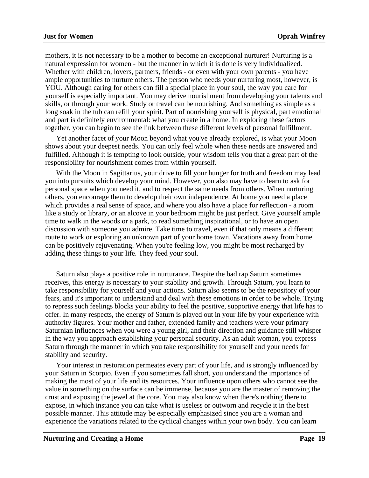mothers, it is not necessary to be a mother to become an exceptional nurturer! Nurturing is a natural expression for women - but the manner in which it is done is very individualized. Whether with children, lovers, partners, friends - or even with your own parents - you have ample opportunities to nurture others. The person who needs your nurturing most, however, is YOU. Although caring for others can fill a special place in your soul, the way you care for yourself is especially important. You may derive nourishment from developing your talents and skills, or through your work. Study or travel can be nourishing. And something as simple as a long soak in the tub can refill your spirit. Part of nourishing yourself is physical, part emotional and part is definitely environmental: what you create in a home. In exploring these factors together, you can begin to see the link between these different levels of personal fulfillment.

 Yet another facet of your Moon beyond what you've already explored, is what your Moon shows about your deepest needs. You can only feel whole when these needs are answered and fulfilled. Although it is tempting to look outside, your wisdom tells you that a great part of the responsibility for nourishment comes from within yourself.

 With the Moon in Sagittarius, your drive to fill your hunger for truth and freedom may lead you into pursuits which develop your mind. However, you also may have to learn to ask for personal space when you need it, and to respect the same needs from others. When nurturing others, you encourage them to develop their own independence. At home you need a place which provides a real sense of space, and where you also have a place for reflection - a room like a study or library, or an alcove in your bedroom might be just perfect. Give yourself ample time to walk in the woods or a park, to read something inspirational, or to have an open discussion with someone you admire. Take time to travel, even if that only means a different route to work or exploring an unknown part of your home town. Vacations away from home can be positively rejuvenating. When you're feeling low, you might be most recharged by adding these things to your life. They feed your soul.

 Saturn also plays a positive role in nurturance. Despite the bad rap Saturn sometimes receives, this energy is necessary to your stability and growth. Through Saturn, you learn to take responsibility for yourself and your actions. Saturn also seems to be the repository of your fears, and it's important to understand and deal with these emotions in order to be whole. Trying to repress such feelings blocks your ability to feel the positive, supportive energy that life has to offer. In many respects, the energy of Saturn is played out in your life by your experience with authority figures. Your mother and father, extended family and teachers were your primary Saturnian influences when you were a young girl, and their direction and guidance still whisper in the way you approach establishing your personal security. As an adult woman, you express Saturn through the manner in which you take responsibility for yourself and your needs for stability and security.

 Your interest in restoration permeates every part of your life, and is strongly influenced by your Saturn in Scorpio. Even if you sometimes fall short, you understand the importance of making the most of your life and its resources. Your influence upon others who cannot see the value in something on the surface can be immense, because you are the master of removing the crust and exposing the jewel at the core. You may also know when there's nothing there to expose, in which instance you can take what is useless or outworn and recycle it in the best possible manner. This attitude may be especially emphasized since you are a woman and experience the variations related to the cyclical changes within your own body. You can learn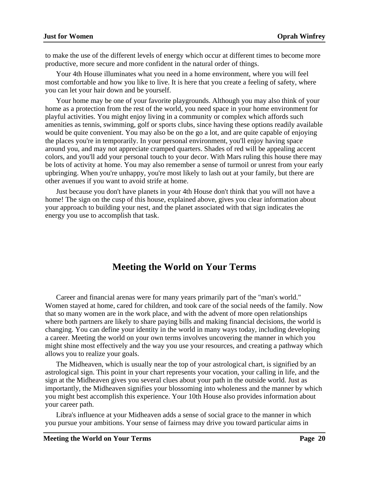to make the use of the different levels of energy which occur at different times to become more productive, more secure and more confident in the natural order of things.

 Your 4th House illuminates what you need in a home environment, where you will feel most comfortable and how you like to live. It is here that you create a feeling of safety, where you can let your hair down and be yourself.

 Your home may be one of your favorite playgrounds. Although you may also think of your home as a protection from the rest of the world, you need space in your home environment for playful activities. You might enjoy living in a community or complex which affords such amenities as tennis, swimming, golf or sports clubs, since having these options readily available would be quite convenient. You may also be on the go a lot, and are quite capable of enjoying the places you're in temporarily. In your personal environment, you'll enjoy having space around you, and may not appreciate cramped quarters. Shades of red will be appealing accent colors, and you'll add your personal touch to your decor. With Mars ruling this house there may be lots of activity at home. You may also remember a sense of turmoil or unrest from your early upbringing. When you're unhappy, you're most likely to lash out at your family, but there are other avenues if you want to avoid strife at home.

 Just because you don't have planets in your 4th House don't think that you will not have a home! The sign on the cusp of this house, explained above, gives you clear information about your approach to building your nest, and the planet associated with that sign indicates the energy you use to accomplish that task.

#### **Meeting the World on Your Terms**

 Career and financial arenas were for many years primarily part of the "man's world." Women stayed at home, cared for children, and took care of the social needs of the family. Now that so many women are in the work place, and with the advent of more open relationships where both partners are likely to share paying bills and making financial decisions, the world is changing. You can define your identity in the world in many ways today, including developing a career. Meeting the world on your own terms involves uncovering the manner in which you might shine most effectively and the way you use your resources, and creating a pathway which allows you to realize your goals.

 The Midheaven, which is usually near the top of your astrological chart, is signified by an astrological sign. This point in your chart represents your vocation, your calling in life, and the sign at the Midheaven gives you several clues about your path in the outside world. Just as importantly, the Midheaven signifies your blossoming into wholeness and the manner by which you might best accomplish this experience. Your 10th House also provides information about your career path.

 Libra's influence at your Midheaven adds a sense of social grace to the manner in which you pursue your ambitions. Your sense of fairness may drive you toward particular aims in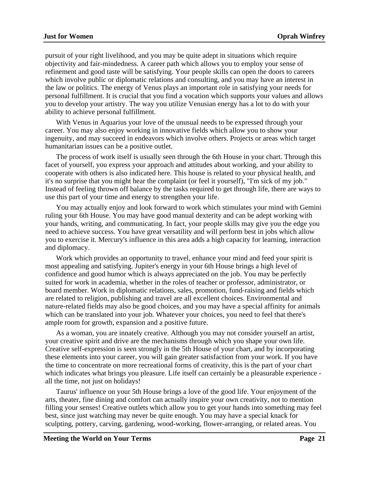pursuit of your right livelihood, and you may be quite adept in situations which require objectivity and fair-mindedness. A career path which allows you to employ your sense of refinement and good taste will be satisfying. Your people skills can open the doors to careers which involve public or diplomatic relations and consulting, and you may have an interest in the law or politics. The energy of Venus plays an important role in satisfying your needs for personal fulfillment. It is crucial that you find a vocation which supports your values and allows you to develop your artistry. The way you utilize Venusian energy has a lot to do with your ability to achieve personal fulfillment.

 With Venus in Aquarius your love of the unusual needs to be expressed through your career. You may also enjoy working in innovative fields which allow you to show your ingenuity, and may succeed in endeavors which involve others. Projects or areas which target humanitarian issues can be a positive outlet.

 The process of work itself is usually seen through the 6th House in your chart. Through this facet of yourself, you express your approach and attitudes about working, and your ability to cooperate with others is also indicated here. This house is related to your physical health, and it's no surprise that you might hear the complaint (or feel it yourself), "I'm sick of my job." Instead of feeling thrown off balance by the tasks required to get through life, there are ways to use this part of your time and energy to strengthen your life.

 You may actually enjoy and look forward to work which stimulates your mind with Gemini ruling your 6th House. You may have good manual dexterity and can be adept working with your hands, writing, and communicating. In fact, your people skills may give you the edge you need to achieve success. You have great versatility and will perform best in jobs which allow you to exercise it. Mercury's influence in this area adds a high capacity for learning, interaction and diplomacy.

 Work which provides an opportunity to travel, enhance your mind and feed your spirit is most appealing and satisfying. Jupiter's energy in your 6th House brings a high level of confidence and good humor which is always appreciated on the job. You may be perfectly suited for work in academia, whether in the roles of teacher or professor, administrator, or board member. Work in diplomatic relations, sales, promotion, fund-raising and fields which are related to religion, publishing and travel are all excellent choices. Environmental and nature-related fields may also be good choices, and you may have a special affinity for animals which can be translated into your job. Whatever your choices, you need to feel that there's ample room for growth, expansion and a positive future.

 As a woman, you are innately creative. Although you may not consider yourself an artist, your creative spirit and drive are the mechanisms through which you shape your own life. Creative self-expression is seen strongly in the 5th House of your chart, and by incorporating these elements into your career, you will gain greater satisfaction from your work. If you have the time to concentrate on more recreational forms of creativity, this is the part of your chart which indicates what brings you pleasure. Life itself can certainly be a pleasurable experience all the time, not just on holidays!

 Taurus' influence on your 5th House brings a love of the good life. Your enjoyment of the arts, theater, fine dining and comfort can actually inspire your own creativity, not to mention filling your senses! Creative outlets which allow you to get your hands into something may feel best, since just watching may never be quite enough. You may have a special knack for sculpting, pottery, carving, gardening, wood-working, flower-arranging, or related areas. You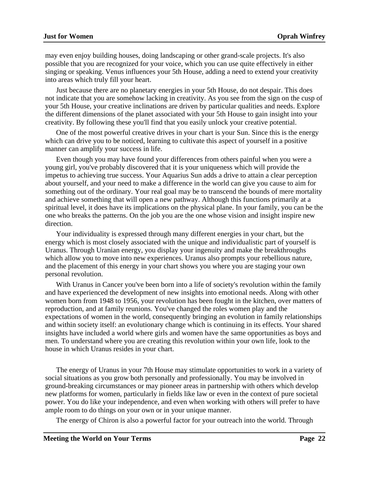may even enjoy building houses, doing landscaping or other grand-scale projects. It's also possible that you are recognized for your voice, which you can use quite effectively in either singing or speaking. Venus influences your 5th House, adding a need to extend your creativity into areas which truly fill your heart.

 Just because there are no planetary energies in your 5th House, do not despair. This does not indicate that you are somehow lacking in creativity. As you see from the sign on the cusp of your 5th House, your creative inclinations are driven by particular qualities and needs. Explore the different dimensions of the planet associated with your 5th House to gain insight into your creativity. By following these you'll find that you easily unlock your creative potential.

 One of the most powerful creative drives in your chart is your Sun. Since this is the energy which can drive you to be noticed, learning to cultivate this aspect of yourself in a positive manner can amplify your success in life.

 Even though you may have found your differences from others painful when you were a young girl, you've probably discovered that it is your uniqueness which will provide the impetus to achieving true success. Your Aquarius Sun adds a drive to attain a clear perception about yourself, and your need to make a difference in the world can give you cause to aim for something out of the ordinary. Your real goal may be to transcend the bounds of mere mortality and achieve something that will open a new pathway. Although this functions primarily at a spiritual level, it does have its implications on the physical plane. In your family, you can be the one who breaks the patterns. On the job you are the one whose vision and insight inspire new direction.

 Your individuality is expressed through many different energies in your chart, but the energy which is most closely associated with the unique and individualistic part of yourself is Uranus. Through Uranian energy, you display your ingenuity and make the breakthroughs which allow you to move into new experiences. Uranus also prompts your rebellious nature, and the placement of this energy in your chart shows you where you are staging your own personal revolution.

With Uranus in Cancer you've been born into a life of society's revolution within the family and have experienced the development of new insights into emotional needs. Along with other women born from 1948 to 1956, your revolution has been fought in the kitchen, over matters of reproduction, and at family reunions. You've changed the roles women play and the expectations of women in the world, consequently bringing an evolution in family relationships and within society itself: an evolutionary change which is continuing in its effects. Your shared insights have included a world where girls and women have the same opportunities as boys and men. To understand where you are creating this revolution within your own life, look to the house in which Uranus resides in your chart.

 The energy of Uranus in your 7th House may stimulate opportunities to work in a variety of social situations as you grow both personally and professionally. You may be involved in ground-breaking circumstances or may pioneer areas in partnership with others which develop new platforms for women, particularly in fields like law or even in the context of pure societal power. You do like your independence, and even when working with others will prefer to have ample room to do things on your own or in your unique manner.

The energy of Chiron is also a powerful factor for your outreach into the world. Through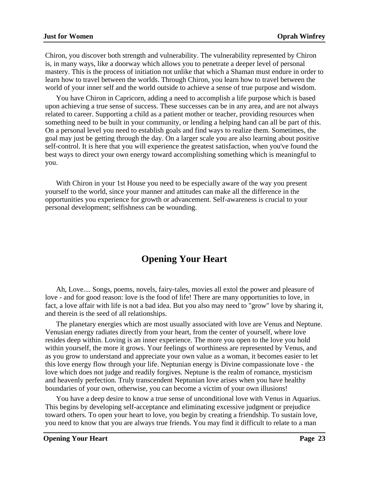Chiron, you discover both strength and vulnerability. The vulnerability represented by Chiron is, in many ways, like a doorway which allows you to penetrate a deeper level of personal mastery. This is the process of initiation not unlike that which a Shaman must endure in order to learn how to travel between the worlds. Through Chiron, you learn how to travel between the world of your inner self and the world outside to achieve a sense of true purpose and wisdom.

 You have Chiron in Capricorn, adding a need to accomplish a life purpose which is based upon achieving a true sense of success. These successes can be in any area, and are not always related to career. Supporting a child as a patient mother or teacher, providing resources when something need to be built in your community, or lending a helping hand can all be part of this. On a personal level you need to establish goals and find ways to realize them. Sometimes, the goal may just be getting through the day. On a larger scale you are also learning about positive self-control. It is here that you will experience the greatest satisfaction, when you've found the best ways to direct your own energy toward accomplishing something which is meaningful to you.

 With Chiron in your 1st House you need to be especially aware of the way you present yourself to the world, since your manner and attitudes can make all the difference in the opportunities you experience for growth or advancement. Self-awareness is crucial to your personal development; selfishness can be wounding.

### **Opening Your Heart**

 Ah, Love.... Songs, poems, novels, fairy-tales, movies all extol the power and pleasure of love - and for good reason: love is the food of life! There are many opportunities to love, in fact, a love affair with life is not a bad idea. But you also may need to "grow" love by sharing it, and therein is the seed of all relationships.

 The planetary energies which are most usually associated with love are Venus and Neptune. Venusian energy radiates directly from your heart, from the center of yourself, where love resides deep within. Loving is an inner experience. The more you open to the love you hold within yourself, the more it grows. Your feelings of worthiness are represented by Venus, and as you grow to understand and appreciate your own value as a woman, it becomes easier to let this love energy flow through your life. Neptunian energy is Divine compassionate love - the love which does not judge and readily forgives. Neptune is the realm of romance, mysticism and heavenly perfection. Truly transcendent Neptunian love arises when you have healthy boundaries of your own, otherwise, you can become a victim of your own illusions!

 You have a deep desire to know a true sense of unconditional love with Venus in Aquarius. This begins by developing self-acceptance and eliminating excessive judgment or prejudice toward others. To open your heart to love, you begin by creating a friendship. To sustain love, you need to know that you are always true friends. You may find it difficult to relate to a man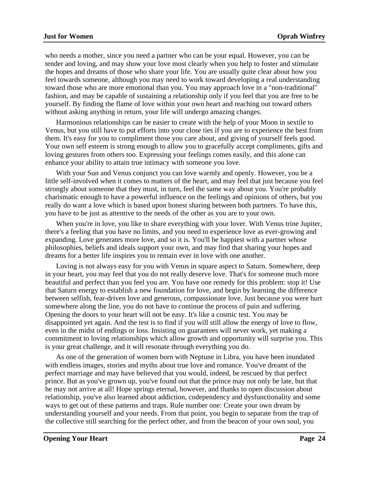who needs a mother, since you need a partner who can be your equal. However, you can be tender and loving, and may show your love most clearly when you help to foster and stimulate the hopes and dreams of those who share your life. You are usually quite clear about how you feel towards someone, although you may need to work toward developing a real understanding toward those who are more emotional than you. You may approach love in a "non-traditional" fashion, and may be capable of sustaining a relationship only if you feel that you are free to be yourself. By finding the flame of love within your own heart and reaching out toward others without asking anything in return, your life will undergo amazing changes.

 Harmonious relationships can be easier to create with the help of your Moon in sextile to Venus, but you still have to put efforts into your close ties if you are to experience the best from them. It's easy for you to compliment those you care about, and giving of yourself feels good. Your own self esteem is strong enough to allow you to gracefully accept compliments, gifts and loving gestures from others too. Expressing your feelings comes easily, and this alone can enhance your ability to attain true intimacy with someone you love.

With your Sun and Venus conjunct you can love warmly and openly. However, you be a little self-involved when it comes to matters of the heart, and may feel that just because you feel strongly about someone that they must, in turn, feel the same way about you. You're probably charismatic enough to have a powerful influence on the feelings and opinions of others, but you really do want a love which is based upon honest sharing between both partners. To have this, you have to be just as attentive to the needs of the other as you are to your own.

When you're in love, you like to share everything with your lover. With Venus trine Jupiter, there's a feeling that you have no limits, and you need to experience love as ever-growing and expanding. Love generates more love, and so it is. You'll be happiest with a partner whose philosophies, beliefs and ideals support your own, and may find that sharing your hopes and dreams for a better life inspires you to remain ever in love with one another.

 Loving is not always easy for you with Venus in square aspect to Saturn. Somewhere, deep in your heart, you may feel that you do not really deserve love. That's for someone much more beautiful and perfect than you feel you are. You have one remedy for this problem: stop it! Use that Saturn energy to establish a new foundation for love, and begin by learning the difference between selfish, fear-driven love and generous, compassionate love. Just because you were hurt somewhere along the line, you do not have to continue the process of pain and suffering. Opening the doors to your heart will not be easy. It's like a cosmic test. You may be disappointed yet again. And the test is to find if you will still allow the energy of love to flow, even in the midst of endings or loss. Insisting on guarantees will never work, yet making a commitment to loving relationships which allow growth and opportunity will surprise you. This is your great challenge, and it will resonate through everything you do.

 As one of the generation of women born with Neptune in Libra, you have been inundated with endless images, stories and myths about true love and romance. You've dreamt of the perfect marriage and may have believed that you would, indeed, be rescued by that perfect prince. But as you've grown up, you've found out that the prince may not only be late, but that he may not arrive at all! Hope springs eternal, however, and thanks to open discussion about relationship, you've also learned about addiction, codependency and dysfunctionality and some ways to get out of these patterns and traps. Rule number one: Create your own dream by understanding yourself and your needs. From that point, you begin to separate from the trap of the collective still searching for the perfect other, and from the beacon of your own soul, you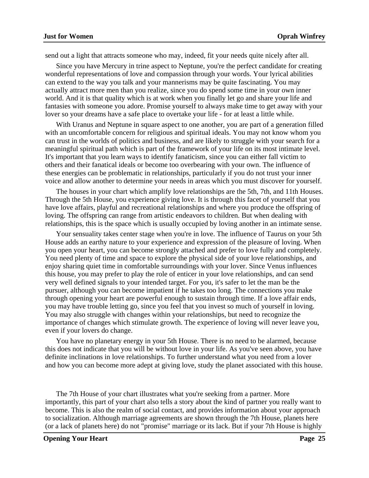send out a light that attracts someone who may, indeed, fit your needs quite nicely after all.

 Since you have Mercury in trine aspect to Neptune, you're the perfect candidate for creating wonderful representations of love and compassion through your words. Your lyrical abilities can extend to the way you talk and your mannerisms may be quite fascinating. You may actually attract more men than you realize, since you do spend some time in your own inner world. And it is that quality which is at work when you finally let go and share your life and fantasies with someone you adore. Promise yourself to always make time to get away with your lover so your dreams have a safe place to overtake your life - for at least a little while.

 With Uranus and Neptune in square aspect to one another, you are part of a generation filled with an uncomfortable concern for religious and spiritual ideals. You may not know whom you can trust in the worlds of politics and business, and are likely to struggle with your search for a meaningful spiritual path which is part of the framework of your life on its most intimate level. It's important that you learn ways to identify fanaticism, since you can either fall victim to others and their fanatical ideals or become too overbearing with your own. The influence of these energies can be problematic in relationships, particularly if you do not trust your inner voice and allow another to determine your needs in areas which you must discover for yourself.

 The houses in your chart which amplify love relationships are the 5th, 7th, and 11th Houses. Through the 5th House, you experience giving love. It is through this facet of yourself that you have love affairs, playful and recreational relationships and where you produce the offspring of loving. The offspring can range from artistic endeavors to children. But when dealing with relationships, this is the space which is usually occupied by loving another in an intimate sense.

 Your sensuality takes center stage when you're in love. The influence of Taurus on your 5th House adds an earthy nature to your experience and expression of the pleasure of loving. When you open your heart, you can become strongly attached and prefer to love fully and completely. You need plenty of time and space to explore the physical side of your love relationships, and enjoy sharing quiet time in comfortable surroundings with your lover. Since Venus influences this house, you may prefer to play the role of enticer in your love relationships, and can send very well defined signals to your intended target. For you, it's safer to let the man be the pursuer, although you can become impatient if he takes too long. The connections you make through opening your heart are powerful enough to sustain through time. If a love affair ends, you may have trouble letting go, since you feel that you invest so much of yourself in loving. You may also struggle with changes within your relationships, but need to recognize the importance of changes which stimulate growth. The experience of loving will never leave you, even if your lovers do change.

 You have no planetary energy in your 5th House. There is no need to be alarmed, because this does not indicate that you will be without love in your life. As you've seen above, you have definite inclinations in love relationships. To further understand what you need from a lover and how you can become more adept at giving love, study the planet associated with this house.

 The 7th House of your chart illustrates what you're seeking from a partner. More importantly, this part of your chart also tells a story about the kind of partner you really want to become. This is also the realm of social contact, and provides information about your approach to socialization. Although marriage agreements are shown through the 7th House, planets here (or a lack of planets here) do not "promise" marriage or its lack. But if your 7th House is highly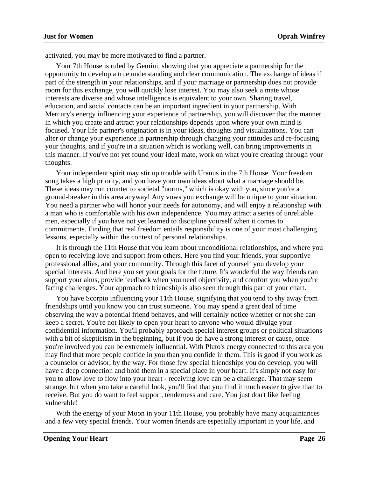activated, you may be more motivated to find a partner.

 Your 7th House is ruled by Gemini, showing that you appreciate a partnership for the opportunity to develop a true understanding and clear communication. The exchange of ideas if part of the strength in your relationships, and if your marriage or partnership does not provide room for this exchange, you will quickly lose interest. You may also seek a mate whose interests are diverse and whose intelligence is equivalent to your own. Sharing travel, education, and social contacts can be an important ingredient in your partnership. With Mercury's energy influencing your experience of partnership, you will discover that the manner in which you create and attract your relationships depends upon where your own mind is focused. Your life partner's origination is in your ideas, thoughts and visualizations. You can alter or change your experience in partnership through changing your attitudes and re-focusing your thoughts, and if you're in a situation which is working well, can bring improvements in this manner. If you've not yet found your ideal mate, work on what you're creating through your thoughts.

 Your independent spirit may stir up trouble with Uranus in the 7th House. Your freedom song takes a high priority, and you have your own ideas about what a marriage should be. These ideas may run counter to societal "norms," which is okay with you, since you're a ground-breaker in this area anyway! Any vows you exchange will be unique to your situation. You need a partner who will honor your needs for autonomy, and will enjoy a relationship with a man who is comfortable with his own independence. You may attract a series of unreliable men, especially if you have not yet learned to discipline yourself when it comes to commitments. Finding that real freedom entails responsibility is one of your most challenging lessons, especially within the context of personal relationships.

 It is through the 11th House that you learn about unconditional relationships, and where you open to receiving love and support from others. Here you find your friends, your supportive professional allies, and your community. Through this facet of yourself you develop your special interests. And here you set your goals for the future. It's wonderful the way friends can support your aims, provide feedback when you need objectivity, and comfort you when you're facing challenges. Your approach to friendship is also seen through this part of your chart.

 You have Scorpio influencing your 11th House, signifying that you tend to shy away from friendships until you know you can trust someone. You may spend a great deal of time observing the way a potential friend behaves, and will certainly notice whether or not she can keep a secret. You're not likely to open your heart to anyone who would divulge your confidential information. You'll probably approach special interest groups or political situations with a bit of skepticism in the beginning, but if you do have a strong interest or cause, once you're involved you can be extremely influential. With Pluto's energy connected to this area you may find that more people confide in you than you confide in them. This is good if you work as a counselor or advisor, by the way. For those few special friendships you do develop, you will have a deep connection and hold them in a special place in your heart. It's simply not easy for you to allow love to flow into your heart - receiving love can be a challenge. That may seem strange, but when you take a careful look, you'll find that you find it much easier to give than to receive. But you do want to feel support, tenderness and care. You just don't like feeling vulnerable!

 With the energy of your Moon in your 11th House, you probably have many acquaintances and a few very special friends. Your women friends are especially important in your life, and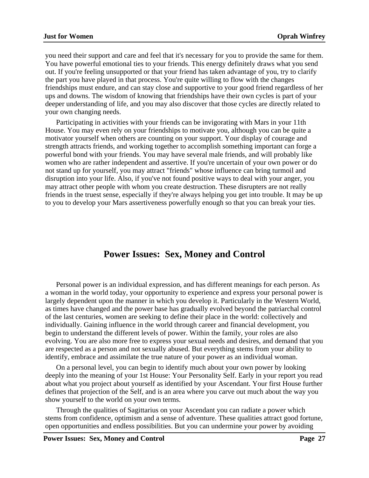you need their support and care and feel that it's necessary for you to provide the same for them. You have powerful emotional ties to your friends. This energy definitely draws what you send out. If you're feeling unsupported or that your friend has taken advantage of you, try to clarify the part you have played in that process. You're quite willing to flow with the changes friendships must endure, and can stay close and supportive to your good friend regardless of her ups and downs. The wisdom of knowing that friendships have their own cycles is part of your deeper understanding of life, and you may also discover that those cycles are directly related to your own changing needs.

 Participating in activities with your friends can be invigorating with Mars in your 11th House. You may even rely on your friendships to motivate you, although you can be quite a motivator yourself when others are counting on your support. Your display of courage and strength attracts friends, and working together to accomplish something important can forge a powerful bond with your friends. You may have several male friends, and will probably like women who are rather independent and assertive. If you're uncertain of your own power or do not stand up for yourself, you may attract "friends" whose influence can bring turmoil and disruption into your life. Also, if you've not found positive ways to deal with your anger, you may attract other people with whom you create destruction. These disrupters are not really friends in the truest sense, especially if they're always helping you get into trouble. It may be up to you to develop your Mars assertiveness powerfully enough so that you can break your ties.

#### **Power Issues: Sex, Money and Control**

 Personal power is an individual expression, and has different meanings for each person. As a woman in the world today, your opportunity to experience and express your personal power is largely dependent upon the manner in which you develop it. Particularly in the Western World, as times have changed and the power base has gradually evolved beyond the patriarchal control of the last centuries, women are seeking to define their place in the world: collectively and individually. Gaining influence in the world through career and financial development, you begin to understand the different levels of power. Within the family, your roles are also evolving. You are also more free to express your sexual needs and desires, and demand that you are respected as a person and not sexually abused. But everything stems from your ability to identify, embrace and assimilate the true nature of your power as an individual woman.

 On a personal level, you can begin to identify much about your own power by looking deeply into the meaning of your 1st House: Your Personality Self. Early in your report you read about what you project about yourself as identified by your Ascendant. Your first House further defines that projection of the Self, and is an area where you carve out much about the way you show yourself to the world on your own terms.

 Through the qualities of Sagittarius on your Ascendant you can radiate a power which stems from confidence, optimism and a sense of adventure. These qualities attract good fortune, open opportunities and endless possibilities. But you can undermine your power by avoiding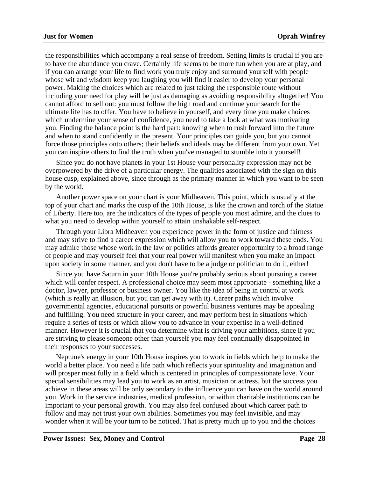the responsibilities which accompany a real sense of freedom. Setting limits is crucial if you are to have the abundance you crave. Certainly life seems to be more fun when you are at play, and if you can arrange your life to find work you truly enjoy and surround yourself with people whose wit and wisdom keep you laughing you will find it easier to develop your personal power. Making the choices which are related to just taking the responsible route without including your need for play will be just as damaging as avoiding responsibility altogether! You cannot afford to sell out: you must follow the high road and continue your search for the ultimate life has to offer. You have to believe in yourself, and every time you make choices which undermine your sense of confidence, you need to take a look at what was motivating you. Finding the balance point is the hard part: knowing when to rush forward into the future and when to stand confidently in the present. Your principles can guide you, but you cannot force those principles onto others; their beliefs and ideals may be different from your own. Yet you can inspire others to find the truth when you've managed to stumble into it yourself!

 Since you do not have planets in your 1st House your personality expression may not be overpowered by the drive of a particular energy. The qualities associated with the sign on this house cusp, explained above, since through as the primary manner in which you want to be seen by the world.

 Another power space on your chart is your Midheaven. This point, which is usually at the top of your chart and marks the cusp of the 10th House, is like the crown and torch of the Statue of Liberty. Here too, are the indicators of the types of people you most admire, and the clues to what you need to develop within yourself to attain unshakable self-respect.

 Through your Libra Midheaven you experience power in the form of justice and fairness and may strive to find a career expression which will allow you to work toward these ends. You may admire those whose work in the law or politics affords greater opportunity to a broad range of people and may yourself feel that your real power will manifest when you make an impact upon society in some manner, and you don't have to be a judge or politician to do it, either!

 Since you have Saturn in your 10th House you're probably serious about pursuing a career which will confer respect. A professional choice may seem most appropriate - something like a doctor, lawyer, professor or business owner. You like the idea of being in control at work (which is really an illusion, but you can get away with it). Career paths which involve governmental agencies, educational pursuits or powerful business ventures may be appealing and fulfilling. You need structure in your career, and may perform best in situations which require a series of tests or which allow you to advance in your expertise in a well-defined manner. However it is crucial that you determine what is driving your ambitions, since if you are striving to please someone other than yourself you may feel continually disappointed in their responses to your successes.

 Neptune's energy in your 10th House inspires you to work in fields which help to make the world a better place. You need a life path which reflects your spirituality and imagination and will prosper most fully in a field which is centered in principles of compassionate love. Your special sensibilities may lead you to work as an artist, musician or actress, but the success you achieve in these areas will be only secondary to the influence you can have on the world around you. Work in the service industries, medical profession, or within charitable institutions can be important to your personal growth. You may also feel confused about which career path to follow and may not trust your own abilities. Sometimes you may feel invisible, and may wonder when it will be your turn to be noticed. That is pretty much up to you and the choices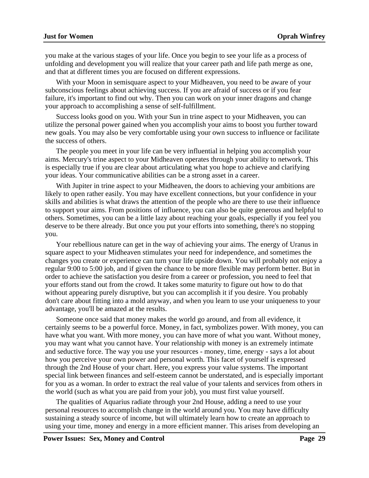you make at the various stages of your life. Once you begin to see your life as a process of unfolding and development you will realize that your career path and life path merge as one, and that at different times you are focused on different expressions.

 With your Moon in semisquare aspect to your Midheaven, you need to be aware of your subconscious feelings about achieving success. If you are afraid of success or if you fear failure, it's important to find out why. Then you can work on your inner dragons and change your approach to accomplishing a sense of self-fulfillment.

 Success looks good on you. With your Sun in trine aspect to your Midheaven, you can utilize the personal power gained when you accomplish your aims to boost you further toward new goals. You may also be very comfortable using your own success to influence or facilitate the success of others.

 The people you meet in your life can be very influential in helping you accomplish your aims. Mercury's trine aspect to your Midheaven operates through your ability to network. This is especially true if you are clear about articulating what you hope to achieve and clarifying your ideas. Your communicative abilities can be a strong asset in a career.

 With Jupiter in trine aspect to your Midheaven, the doors to achieving your ambitions are likely to open rather easily. You may have excellent connections, but your confidence in your skills and abilities is what draws the attention of the people who are there to use their influence to support your aims. From positions of influence, you can also be quite generous and helpful to others. Sometimes, you can be a little lazy about reaching your goals, especially if you feel you deserve to be there already. But once you put your efforts into something, there's no stopping you.

 Your rebellious nature can get in the way of achieving your aims. The energy of Uranus in square aspect to your Midheaven stimulates your need for independence, and sometimes the changes you create or experience can turn your life upside down. You will probably not enjoy a regular 9:00 to 5:00 job, and if given the chance to be more flexible may perform better. But in order to achieve the satisfaction you desire from a career or profession, you need to feel that your efforts stand out from the crowd. It takes some maturity to figure out how to do that without appearing purely disruptive, but you can accomplish it if you desire. You probably don't care about fitting into a mold anyway, and when you learn to use your uniqueness to your advantage, you'll be amazed at the results.

 Someone once said that money makes the world go around, and from all evidence, it certainly seems to be a powerful force. Money, in fact, symbolizes power. With money, you can have what you want. With more money, you can have more of what you want. Without money, you may want what you cannot have. Your relationship with money is an extremely intimate and seductive force. The way you use your resources - money, time, energy - says a lot about how you perceive your own power and personal worth. This facet of yourself is expressed through the 2nd House of your chart. Here, you express your value systems. The important special link between finances and self-esteem cannot be understated, and is especially important for you as a woman. In order to extract the real value of your talents and services from others in the world (such as what you are paid from your job), you must first value yourself.

 The qualities of Aquarius radiate through your 2nd House, adding a need to use your personal resources to accomplish change in the world around you. You may have difficulty sustaining a steady source of income, but will ultimately learn how to create an approach to using your time, money and energy in a more efficient manner. This arises from developing an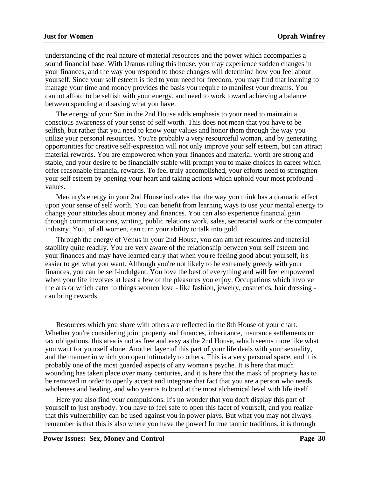understanding of the real nature of material resources and the power which accompanies a sound financial base. With Uranus ruling this house, you may experience sudden changes in your finances, and the way you respond to those changes will determine how you feel about yourself. Since your self esteem is tied to your need for freedom, you may find that learning to manage your time and money provides the basis you require to manifest your dreams. You cannot afford to be selfish with your energy, and need to work toward achieving a balance between spending and saving what you have.

 The energy of your Sun in the 2nd House adds emphasis to your need to maintain a conscious awareness of your sense of self worth. This does not mean that you have to be selfish, but rather that you need to know your values and honor them through the way you utilize your personal resources. You're probably a very resourceful woman, and by generating opportunities for creative self-expression will not only improve your self esteem, but can attract material rewards. You are empowered when your finances and material worth are strong and stable, and your desire to be financially stable will prompt you to make choices in career which offer reasonable financial rewards. To feel truly accomplished, your efforts need to strengthen your self esteem by opening your heart and taking actions which uphold your most profound values.

 Mercury's energy in your 2nd House indicates that the way you think has a dramatic effect upon your sense of self worth. You can benefit from learning ways to use your mental energy to change your attitudes about money and finances. You can also experience financial gain through communications, writing, public relations work, sales, secretarial work or the computer industry. You, of all women, can turn your ability to talk into gold.

 Through the energy of Venus in your 2nd House, you can attract resources and material stability quite readily. You are very aware of the relationship between your self esteem and your finances and may have learned early that when you're feeling good about yourself, it's easier to get what you want. Although you're not likely to be extremely greedy with your finances, you can be self-indulgent. You love the best of everything and will feel empowered when your life involves at least a few of the pleasures you enjoy. Occupations which involve the arts or which cater to things women love - like fashion, jewelry, cosmetics, hair dressing can bring rewards.

 Resources which you share with others are reflected in the 8th House of your chart. Whether you're considering joint property and finances, inheritance, insurance settlements or tax obligations, this area is not as free and easy as the 2nd House, which seems more like what you want for yourself alone. Another layer of this part of your life deals with your sexuality, and the manner in which you open intimately to others. This is a very personal space, and it is probably one of the most guarded aspects of any woman's psyche. It is here that much wounding has taken place over many centuries, and it is here that the mask of propriety has to be removed in order to openly accept and integrate that fact that you are a person who needs wholeness and healing, and who yearns to bond at the most alchemical level with life itself.

 Here you also find your compulsions. It's no wonder that you don't display this part of yourself to just anybody. You have to feel safe to open this facet of yourself, and you realize that this vulnerability can be used against you in power plays. But what you may not always remember is that this is also where you have the power! In true tantric traditions, it is through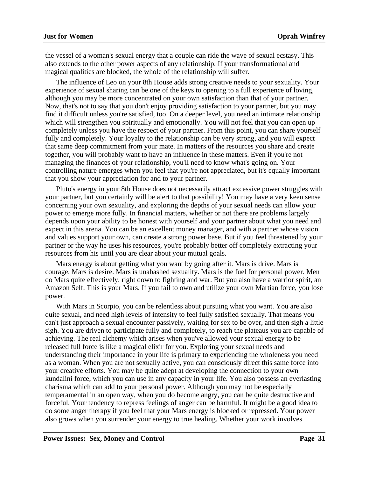the vessel of a woman's sexual energy that a couple can ride the wave of sexual ecstasy. This also extends to the other power aspects of any relationship. If your transformational and magical qualities are blocked, the whole of the relationship will suffer.

 The influence of Leo on your 8th House adds strong creative needs to your sexuality. Your experience of sexual sharing can be one of the keys to opening to a full experience of loving, although you may be more concentrated on your own satisfaction than that of your partner. Now, that's not to say that you don't enjoy providing satisfaction to your partner, but you may find it difficult unless you're satisfied, too. On a deeper level, you need an intimate relationship which will strengthen you spiritually and emotionally. You will not feel that you can open up completely unless you have the respect of your partner. From this point, you can share yourself fully and completely. Your loyalty to the relationship can be very strong, and you will expect that same deep commitment from your mate. In matters of the resources you share and create together, you will probably want to have an influence in these matters. Even if you're not managing the finances of your relationship, you'll need to know what's going on. Your controlling nature emerges when you feel that you're not appreciated, but it's equally important that you show your appreciation for and to your partner.

 Pluto's energy in your 8th House does not necessarily attract excessive power struggles with your partner, but you certainly will be alert to that possibility! You may have a very keen sense concerning your own sexuality, and exploring the depths of your sexual needs can allow your power to emerge more fully. In financial matters, whether or not there are problems largely depends upon your ability to be honest with yourself and your partner about what you need and expect in this arena. You can be an excellent money manager, and with a partner whose vision and values support your own, can create a strong power base. But if you feel threatened by your partner or the way he uses his resources, you're probably better off completely extracting your resources from his until you are clear about your mutual goals.

 Mars energy is about getting what you want by going after it. Mars is drive. Mars is courage. Mars is desire. Mars is unabashed sexuality. Mars is the fuel for personal power. Men do Mars quite effectively, right down to fighting and war. But you also have a warrior spirit, an Amazon Self. This is your Mars. If you fail to own and utilize your own Martian force, you lose power.

With Mars in Scorpio, you can be relentless about pursuing what you want. You are also quite sexual, and need high levels of intensity to feel fully satisfied sexually. That means you can't just approach a sexual encounter passively, waiting for sex to be over, and then sigh a little sigh. You are driven to participate fully and completely, to reach the plateaus you are capable of achieving. The real alchemy which arises when you've allowed your sexual energy to be released full force is like a magical elixir for you. Exploring your sexual needs and understanding their importance in your life is primary to experiencing the wholeness you need as a woman. When you are not sexually active, you can consciously direct this same force into your creative efforts. You may be quite adept at developing the connection to your own kundalini force, which you can use in any capacity in your life. You also possess an everlasting charisma which can add to your personal power. Although you may not be especially temperamental in an open way, when you do become angry, you can be quite destructive and forceful. Your tendency to repress feelings of anger can be harmful. It might be a good idea to do some anger therapy if you feel that your Mars energy is blocked or repressed. Your power also grows when you surrender your energy to true healing. Whether your work involves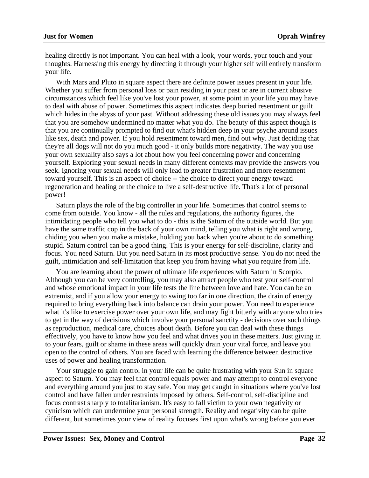healing directly is not important. You can heal with a look, your words, your touch and your thoughts. Harnessing this energy by directing it through your higher self will entirely transform your life.

 With Mars and Pluto in square aspect there are definite power issues present in your life. Whether you suffer from personal loss or pain residing in your past or are in current abusive circumstances which feel like you've lost your power, at some point in your life you may have to deal with abuse of power. Sometimes this aspect indicates deep buried resentment or guilt which hides in the abyss of your past. Without addressing these old issues you may always feel that you are somehow undermined no matter what you do. The beauty of this aspect though is that you are continually prompted to find out what's hidden deep in your psyche around issues like sex, death and power. If you hold resentment toward men, find out why. Just deciding that they're all dogs will not do you much good - it only builds more negativity. The way you use your own sexuality also says a lot about how you feel concerning power and concerning yourself. Exploring your sexual needs in many different contexts may provide the answers you seek. Ignoring your sexual needs will only lead to greater frustration and more resentment toward yourself. This is an aspect of choice -- the choice to direct your energy toward regeneration and healing or the choice to live a self-destructive life. That's a lot of personal power!

 Saturn plays the role of the big controller in your life. Sometimes that control seems to come from outside. You know - all the rules and regulations, the authority figures, the intimidating people who tell you what to do - this is the Saturn of the outside world. But you have the same traffic cop in the back of your own mind, telling you what is right and wrong, chiding you when you make a mistake, holding you back when you're about to do something stupid. Saturn control can be a good thing. This is your energy for self-discipline, clarity and focus. You need Saturn. But you need Saturn in its most productive sense. You do not need the guilt, intimidation and self-limitation that keep you from having what you require from life.

 You are learning about the power of ultimate life experiences with Saturn in Scorpio. Although you can be very controlling, you may also attract people who test your self-control and whose emotional impact in your life tests the line between love and hate. You can be an extremist, and if you allow your energy to swing too far in one direction, the drain of energy required to bring everything back into balance can drain your power. You need to experience what it's like to exercise power over your own life, and may fight bitterly with anyone who tries to get in the way of decisions which involve your personal sanctity - decisions over such things as reproduction, medical care, choices about death. Before you can deal with these things effectively, you have to know how you feel and what drives you in these matters. Just giving in to your fears, guilt or shame in these areas will quickly drain your vital force, and leave you open to the control of others. You are faced with learning the difference between destructive uses of power and healing transformation.

 Your struggle to gain control in your life can be quite frustrating with your Sun in square aspect to Saturn. You may feel that control equals power and may attempt to control everyone and everything around you just to stay safe. You may get caught in situations where you've lost control and have fallen under restraints imposed by others. Self-control, self-discipline and focus contrast sharply to totalitarianism. It's easy to fall victim to your own negativity or cynicism which can undermine your personal strength. Reality and negativity can be quite different, but sometimes your view of reality focuses first upon what's wrong before you ever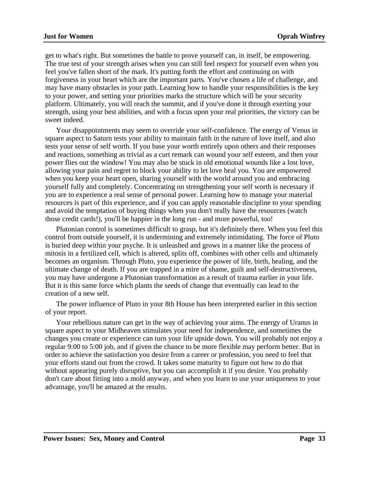get to what's right. But sometimes the battle to prove yourself can, in itself, be empowering. The true test of your strength arises when you can still feel respect for yourself even when you feel you've fallen short of the mark. It's putting forth the effort and continuing on with forgiveness in your heart which are the important parts. You've chosen a life of challenge, and may have many obstacles in your path. Learning how to handle your responsibilities is the key to your power, and setting your priorities marks the structure which will be your security platform. Ultimately, you will reach the summit, and if you've done it through exerting your strength, using your best abilities, and with a focus upon your real priorities, the victory can be sweet indeed.

 Your disappointments may seem to override your self-confidence. The energy of Venus in square aspect to Saturn tests your ability to maintain faith in the nature of love itself, and also tests your sense of self worth. If you base your worth entirely upon others and their responses and reactions, something as trivial as a curt remark can wound your self esteem, and then your power flies out the window! You may also be stuck in old emotional wounds like a lost love, allowing your pain and regret to block your ability to let love heal you. You are empowered when you keep your heart open, sharing yourself with the world around you and embracing yourself fully and completely. Concentrating on strengthening your self worth is necessary if you are to experience a real sense of personal power. Learning how to manage your material resources is part of this experience, and if you can apply reasonable discipline to your spending and avoid the temptation of buying things when you don't really have the resources (watch those credit cards!), you'll be happier in the long run - and more powerful, too!

 Plutonian control is sometimes difficult to grasp, but it's definitely there. When you feel this control from outside yourself, it is undermining and extremely intimidating. The force of Pluto is buried deep within your psyche. It is unleashed and grows in a manner like the process of mitosis in a fertilized cell, which is altered, splits off, combines with other cells and ultimately becomes an organism. Through Pluto, you experience the power of life, birth, healing, and the ultimate change of death. If you are trapped in a mire of shame, guilt and self-destructiveness, you may have undergone a Plutonian transformation as a result of trauma earlier in your life. But it is this same force which plants the seeds of change that eventually can lead to the creation of a new self.

 The power influence of Pluto in your 8th House has been interpreted earlier in this section of your report.

 Your rebellious nature can get in the way of achieving your aims. The energy of Uranus in square aspect to your Midheaven stimulates your need for independence, and sometimes the changes you create or experience can turn your life upside down. You will probably not enjoy a regular 9:00 to 5:00 job, and if given the chance to be more flexible may perform better. But in order to achieve the satisfaction you desire from a career or profession, you need to feel that your efforts stand out from the crowd. It takes some maturity to figure out how to do that without appearing purely disruptive, but you can accomplish it if you desire. You probably don't care about fitting into a mold anyway, and when you learn to use your uniqueness to your advantage, you'll be amazed at the results.